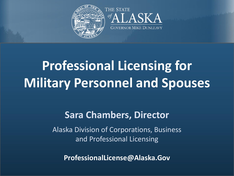



# **Professional Licensing for Military Personnel and Spouses**

# **Presented to Sara Chambers, Director**

and Professional Licensing Alaska Division of Corporations, Business

 $F = F \cdot F$ **ProfessionalLicense@Alaska.Gov**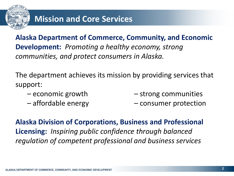

**Alaska Department of Commerce, Community, and Economic Development:** *Promoting a healthy economy, strong communities, and protect consumers in Alaska.* 

The department achieves its mission by providing services that support:

- 
- 

 $-$  economic growth  $-$  strong communities

– affordable energy – consumer protection

**Alaska Division of Corporations, Business and Professional Licensing:** *Inspiring public confidence through balanced regulation of competent professional and business services*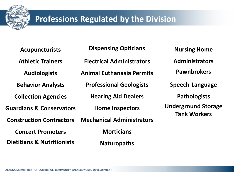

## **Professions Regulated by the Division**

**Acupuncturists Athletic Trainers Audiologists Behavior Analysts Collection Agencies Guardians & Conservators Construction Contractors Concert Promoters Dietitians & Nutritionists**

**Dispensing Opticians Electrical Administrators Animal Euthanasia Permits Professional Geologists Hearing Aid Dealers Home Inspectors Mechanical Administrators Morticians**

**Naturopaths** 

**Nursing Home Administrators Pawnbrokers Speech-Language Pathologists Underground Storage Tank Workers**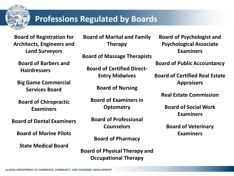

#### **Professions Regulated by Boards**

**Board of Registration for Architects, Engineers and Land Surveyors**

**Board of Barbers and Hairdressers**

**Big Game Commercial Services Board**

**Board of Chiropractic Examiners**

**Board of Dental Examiners**

**Board of Marine Pilots**

**State Medical Board**

**Board of Marital and Family Therapy**

**Board of Massage Therapists**

**Board of Certified Direct-Entry Midwives**

**Board of Nursing**

**Board of Examiners in Optometry**

**Board of Professional Counselors**

**Board of Pharmacy**

**Board of Physical Therapy and Occupational Therapy**

**Board of Psychologist and Psychological Associate Examiners**

**Board of Public Accountancy**

**Board of Certified Real Estate Appraisers**

**Real Estate Commission**

**Board of Social Work Examiners**

**Board of Veterinary Examiners**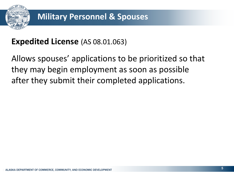

## **Expedited License** (AS 08.01.063)

Allows spouses' applications to be prioritized so that they may begin employment as soon as possible after they submit their completed applications.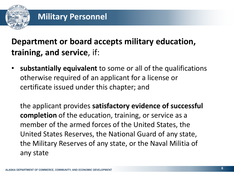

# **Department or board accepts military education, training, and service**, if:

• **substantially equivalent** to some or all of the qualifications otherwise required of an applicant for a license or certificate issued under this chapter; and

the applicant provides **satisfactory evidence of successful completion** of the education, training, or service as a member of the armed forces of the United States, the United States Reserves, the National Guard of any state, the Military Reserves of any state, or the Naval Militia of any state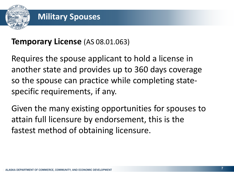

#### **Temporary License** (AS 08.01.063)

Requires the spouse applicant to hold a license in another state and provides up to 360 days coverage so the spouse can practice while completing statespecific requirements, if any.

Given the many existing opportunities for spouses to attain full licensure by endorsement, this is the fastest method of obtaining licensure.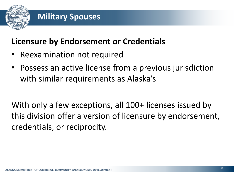

## **Licensure by Endorsement or Credentials**

- Reexamination not required
- Possess an active license from a previous jurisdiction with similar requirements as Alaska's

With only a few exceptions, all 100+ licenses issued by this division offer a version of licensure by endorsement, credentials, or reciprocity.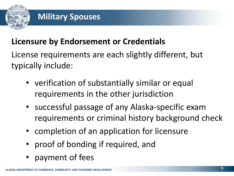

## **Licensure by Endorsement or Credentials**

License requirements are each slightly different, but typically include:

- verification of substantially similar or equal requirements in the other jurisdiction
- successful passage of any Alaska-specific exam requirements or criminal history background check
- completion of an application for licensure
- proof of bonding if required, and
- payment of fees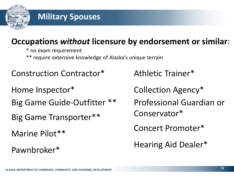

# **Occupations** *without* **licensure by endorsement or similar**:

- \* no exam requirement
- \*\* require extensive knowledge of Alaska's unique terrain
- Construction Contractor\*
- Home Inspector\*
- Big Game Guide-Outfitter \*\*
- Big Game Transporter\*\*
- Marine Pilot\*\*
- Pawnbroker\*
- Athletic Trainer\*
- Collection Agency\*
- Professional Guardian or
- Conservator\*
- Concert Promoter\*
- Hearing Aid Dealer\*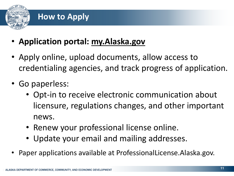

## **How to Apply**

- **Application portal: [my.Alaska.gov](https://my.alaska.gov/)**
- Apply online, upload documents, allow access to credentialing agencies, and track progress of application.
- Go paperless:
	- Opt-in to receive electronic communication about licensure, regulations changes, and other important news.
	- Renew your professional license online.
	- Update your email and mailing addresses.
- Paper applications available at ProfessionalLicense.Alaska.gov.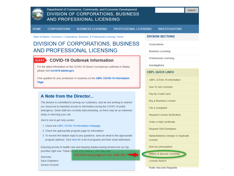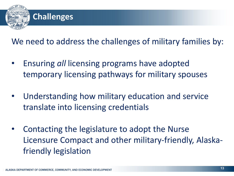

We need to address the challenges of military families by:

- Ensuring *all* licensing programs have adopted temporary licensing pathways for military spouses
- Understanding how military education and service translate into licensing credentials
- Contacting the legislature to adopt the Nurse Licensure Compact and other military-friendly, Alaskafriendly legislation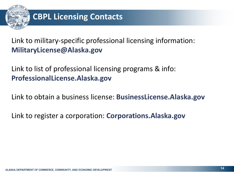

Link to military-specific professional licensing information: **MilitaryLicense@Alaska.gov**

Link to list of professional licensing programs & info: **ProfessionalLicense.Alaska.gov**

Link to obtain a business license: **BusinessLicense.Alaska.gov**

Link to register a corporation: **Corporations.Alaska.gov**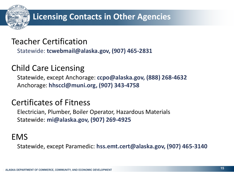

## **Licensing Contacts in Other Agencies**

#### Teacher Certification

Statewide: **tcwebmail@alaska.gov, (907) 465-2831**

## Child Care Licensing

Statewide, except Anchorage: **ccpo@alaska.gov, (888) 268-4632**  Anchorage: **hhsccl@muni.org, (907) 343-4758**

## Certificates of Fitness

Electrician, Plumber, Boiler Operator, Hazardous Materials Statewide: **mi@alaska.gov, (907) 269-4925**

#### EMS

Statewide, except Paramedic: **hss.emt.cert@alaska.gov, (907) 465-3140**